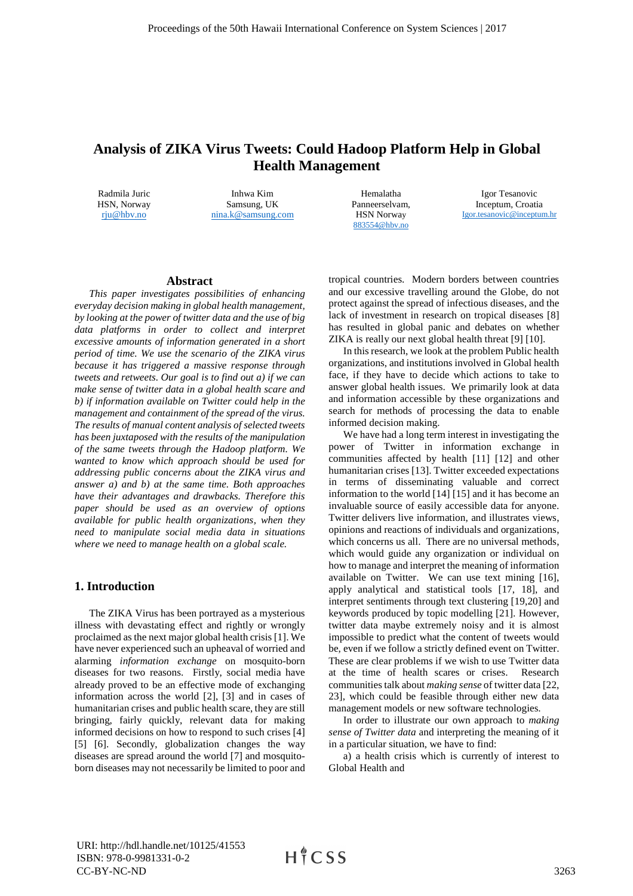# **Analysis of ZIKA Virus Tweets: Could Hadoop Platform Help in Global Health Management**

Radmila Juric HSN, Norway rju@hbv.no

Inhwa Kim Samsung, UK nina.k@samsung.com

Hemalatha Panneerselvam, HSN Norway 883554@hbv.no

Igor Tesanovic Inceptum, Croatia Igor.tesanovic@inceptum.hr

### **Abstract**

*This paper investigates possibilities of enhancing everyday decision making in global health management, by looking at the power of twitter data and the use of big data platforms in order to collect and interpret excessive amounts of information generated in a short period of time. We use the scenario of the ZIKA virus because it has triggered a massive response through tweets and retweets. Our goal is to find out a) if we can make sense of twitter data in a global health scare and b) if information available on Twitter could help in the management and containment of the spread of the virus. The results of manual content analysis of selected tweets has been juxtaposed with the results of the manipulation of the same tweets through the Hadoop platform. We wanted to know which approach should be used for addressing public concerns about the ZIKA virus and answer a) and b) at the same time. Both approaches have their advantages and drawbacks. Therefore this paper should be used as an overview of options available for public health organizations, when they need to manipulate social media data in situations where we need to manage health on a global scale.*

# **1. Introduction**

The ZIKA Virus has been portrayed as a mysterious illness with devastating effect and rightly or wrongly proclaimed as the next major global health crisis [1]. We have never experienced such an upheaval of worried and alarming *information exchange* on mosquito-born diseases for two reasons. Firstly, social media have already proved to be an effective mode of exchanging information across the world [2], [3] and in cases of humanitarian crises and public health scare, they are still bringing, fairly quickly, relevant data for making informed decisions on how to respond to such crises [4] [5] [6]. Secondly, globalization changes the way diseases are spread around the world [7] and mosquitoborn diseases may not necessarily be limited to poor and

tropical countries. Modern borders between countries and our excessive travelling around the Globe, do not protect against the spread of infectious diseases, and the lack of investment in research on tropical diseases [8] has resulted in global panic and debates on whether ZIKA is really our next global health threat [9] [10].

In this research, we look at the problem Public health organizations, and institutions involved in Global health face, if they have to decide which actions to take to answer global health issues. We primarily look at data and information accessible by these organizations and search for methods of processing the data to enable informed decision making.

We have had a long term interest in investigating the power of Twitter in information exchange in communities affected by health [11] [12] and other humanitarian crises [13]. Twitter exceeded expectations in terms of disseminating valuable and correct information to the world [14] [15] and it has become an invaluable source of easily accessible data for anyone. Twitter delivers live information, and illustrates views, opinions and reactions of individuals and organizations, which concerns us all. There are no universal methods, which would guide any organization or individual on how to manage and interpret the meaning of information available on Twitter. We can use text mining [16], apply analytical and statistical tools [17, 18], and interpret sentiments through text clustering [19,20] and keywords produced by topic modelling [21]. However, twitter data maybe extremely noisy and it is almost impossible to predict what the content of tweets would be, even if we follow a strictly defined event on Twitter. These are clear problems if we wish to use Twitter data at the time of health scares or crises. Research communities talk about *making sense* of twitter data [22, 23], which could be feasible through either new data management models or new software technologies.

In order to illustrate our own approach to *making sense of Twitter data* and interpreting the meaning of it in a particular situation, we have to find:

a) a health crisis which is currently of interest to Global Health and

URI: http://hdl.handle.net/10125/41553 ISBN: 978-0-9981331-0-2 CC-BY-NC-ND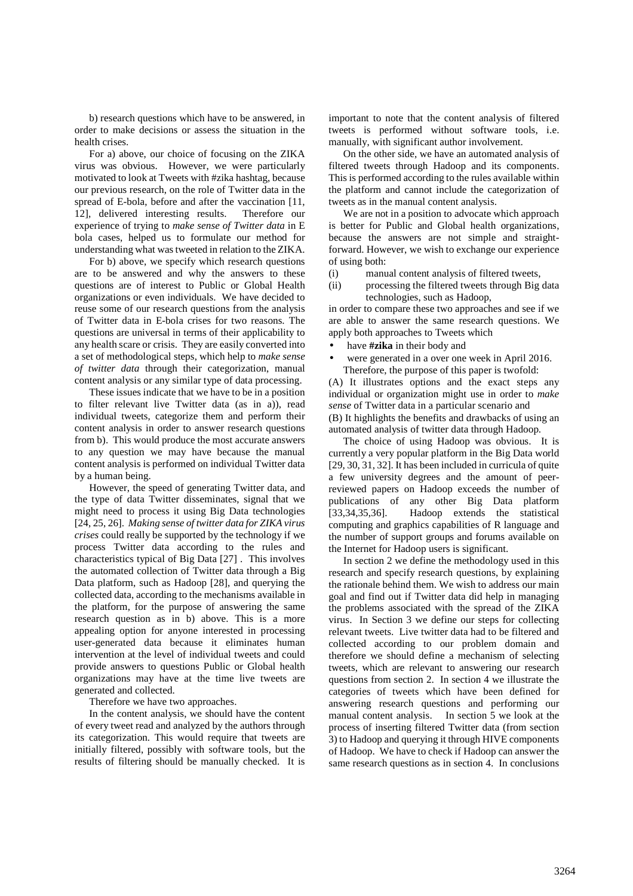b) research questions which have to be answered, in order to make decisions or assess the situation in the health crises.

For a) above, our choice of focusing on the ZIKA virus was obvious. However, we were particularly motivated to look at Tweets with #zika hashtag, because our previous research, on the role of Twitter data in the spread of E-bola, before and after the vaccination [11, 12], delivered interesting results. Therefore our experience of trying to *make sense of Twitter data* in E bola cases, helped us to formulate our method for understanding what was tweeted in relation to the ZIKA.

For b) above, we specify which research questions are to be answered and why the answers to these questions are of interest to Public or Global Health organizations or even individuals. We have decided to reuse some of our research questions from the analysis of Twitter data in E-bola crises for two reasons. The questions are universal in terms of their applicability to any health scare or crisis. They are easily converted into a set of methodological steps, which help to *make sense of twitter data* through their categorization, manual content analysis or any similar type of data processing.

These issues indicate that we have to be in a position to filter relevant live Twitter data (as in a)), read individual tweets, categorize them and perform their content analysis in order to answer research questions from b). This would produce the most accurate answers to any question we may have because the manual content analysis is performed on individual Twitter data by a human being.

However, the speed of generating Twitter data, and the type of data Twitter disseminates, signal that we might need to process it using Big Data technologies [24, 25, 26]. *Making sense of twitter data for ZIKA virus crises* could really be supported by the technology if we process Twitter data according to the rules and characteristics typical of Big Data [27] . This involves the automated collection of Twitter data through a Big Data platform, such as Hadoop [28], and querying the collected data, according to the mechanisms available in the platform, for the purpose of answering the same research question as in b) above. This is a more appealing option for anyone interested in processing user-generated data because it eliminates human intervention at the level of individual tweets and could provide answers to questions Public or Global health organizations may have at the time live tweets are generated and collected.

Therefore we have two approaches.

In the content analysis, we should have the content of every tweet read and analyzed by the authors through its categorization. This would require that tweets are initially filtered, possibly with software tools, but the results of filtering should be manually checked. It is important to note that the content analysis of filtered tweets is performed without software tools, i.e. manually, with significant author involvement.

On the other side, we have an automated analysis of filtered tweets through Hadoop and its components. This is performed according to the rules available within the platform and cannot include the categorization of tweets as in the manual content analysis.

We are not in a position to advocate which approach is better for Public and Global health organizations, because the answers are not simple and straightforward. However, we wish to exchange our experience of using both:

- (i) manual content analysis of filtered tweets,
- (ii) processing the filtered tweets through Big data technologies, such as Hadoop,

in order to compare these two approaches and see if we are able to answer the same research questions. We apply both approaches to Tweets which

- have **#zika** in their body and
- were generated in a over one week in April 2016. Therefore, the purpose of this paper is twofold:

(A) It illustrates options and the exact steps any individual or organization might use in order to *make sense* of Twitter data in a particular scenario and (B) It highlights the benefits and drawbacks of using an automated analysis of twitter data through Hadoop.

The choice of using Hadoop was obvious. It is currently a very popular platform in the Big Data world [29, 30, 31, 32]. It has been included in curricula of quite a few university degrees and the amount of peerreviewed papers on Hadoop exceeds the number of publications of any other Big Data platform [33,34,35,36]. Hadoop extends the statistical computing and graphics capabilities of R language and the number of support groups and forums available on the Internet for Hadoop users is significant.

In section 2 we define the methodology used in this research and specify research questions, by explaining the rationale behind them. We wish to address our main goal and find out if Twitter data did help in managing the problems associated with the spread of the ZIKA virus. In Section 3 we define our steps for collecting relevant tweets. Live twitter data had to be filtered and collected according to our problem domain and therefore we should define a mechanism of selecting tweets, which are relevant to answering our research questions from section 2. In section 4 we illustrate the categories of tweets which have been defined for answering research questions and performing our manual content analysis. In section 5 we look at the process of inserting filtered Twitter data (from section 3) to Hadoop and querying it through HIVE components of Hadoop. We have to check if Hadoop can answer the same research questions as in section 4. In conclusions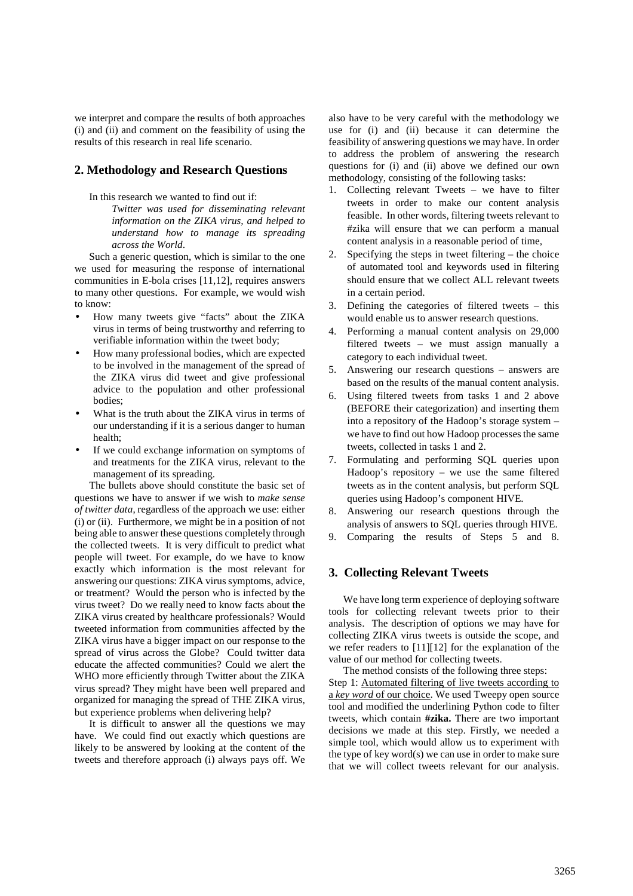we interpret and compare the results of both approaches (i) and (ii) and comment on the feasibility of using the results of this research in real life scenario.

# **2. Methodology and Research Questions**

In this research we wanted to find out if:

*Twitter was used for disseminating relevant information on the ZIKA virus, and helped to understand how to manage its spreading across the World*.

Such a generic question, which is similar to the one we used for measuring the response of international communities in E-bola crises [11,12], requires answers to many other questions. For example, we would wish to know:

- How many tweets give "facts" about the ZIKA virus in terms of being trustworthy and referring to verifiable information within the tweet body;
- How many professional bodies, which are expected to be involved in the management of the spread of the ZIKA virus did tweet and give professional advice to the population and other professional bodies;
- What is the truth about the ZIKA virus in terms of our understanding if it is a serious danger to human health;
- If we could exchange information on symptoms of and treatments for the ZIKA virus, relevant to the management of its spreading.

The bullets above should constitute the basic set of questions we have to answer if we wish to *make sense of twitter data*, regardless of the approach we use: either (i) or (ii). Furthermore, we might be in a position of not being able to answer these questions completely through the collected tweets. It is very difficult to predict what people will tweet. For example, do we have to know exactly which information is the most relevant for answering our questions: ZIKA virus symptoms, advice, or treatment? Would the person who is infected by the virus tweet? Do we really need to know facts about the ZIKA virus created by healthcare professionals? Would tweeted information from communities affected by the ZIKA virus have a bigger impact on our response to the spread of virus across the Globe? Could twitter data educate the affected communities? Could we alert the WHO more efficiently through Twitter about the ZIKA virus spread? They might have been well prepared and organized for managing the spread of THE ZIKA virus, but experience problems when delivering help?

It is difficult to answer all the questions we may have. We could find out exactly which questions are likely to be answered by looking at the content of the tweets and therefore approach (i) always pays off. We

also have to be very careful with the methodology we use for (i) and (ii) because it can determine the feasibility of answering questions we may have. In order to address the problem of answering the research questions for (i) and (ii) above we defined our own methodology, consisting of the following tasks:

- 1. Collecting relevant Tweets we have to filter tweets in order to make our content analysis feasible. In other words, filtering tweets relevant to #zika will ensure that we can perform a manual content analysis in a reasonable period of time,
- 2. Specifying the steps in tweet filtering the choice of automated tool and keywords used in filtering should ensure that we collect ALL relevant tweets in a certain period.
- 3. Defining the categories of filtered tweets this would enable us to answer research questions.
- 4. Performing a manual content analysis on 29,000 filtered tweets – we must assign manually a category to each individual tweet.
- 5. Answering our research questions answers are based on the results of the manual content analysis.
- 6. Using filtered tweets from tasks 1 and 2 above (BEFORE their categorization) and inserting them into a repository of the Hadoop's storage system – we have to find out how Hadoop processes the same tweets, collected in tasks 1 and 2.
- 7. Formulating and performing SQL queries upon Hadoop's repository – we use the same filtered tweets as in the content analysis, but perform SQL queries using Hadoop's component HIVE.
- 8. Answering our research questions through the analysis of answers to SQL queries through HIVE.
- 9. Comparing the results of Steps 5 and 8.

# **3. Collecting Relevant Tweets**

We have long term experience of deploying software tools for collecting relevant tweets prior to their analysis. The description of options we may have for collecting ZIKA virus tweets is outside the scope, and we refer readers to [11][12] for the explanation of the value of our method for collecting tweets.

The method consists of the following three steps: Step 1: Automated filtering of live tweets according to a *key word* of our choice. We used Tweepy open source tool and modified the underlining Python code to filter tweets, which contain **#zika.** There are two important decisions we made at this step. Firstly, we needed a simple tool, which would allow us to experiment with the type of key word(s) we can use in order to make sure that we will collect tweets relevant for our analysis.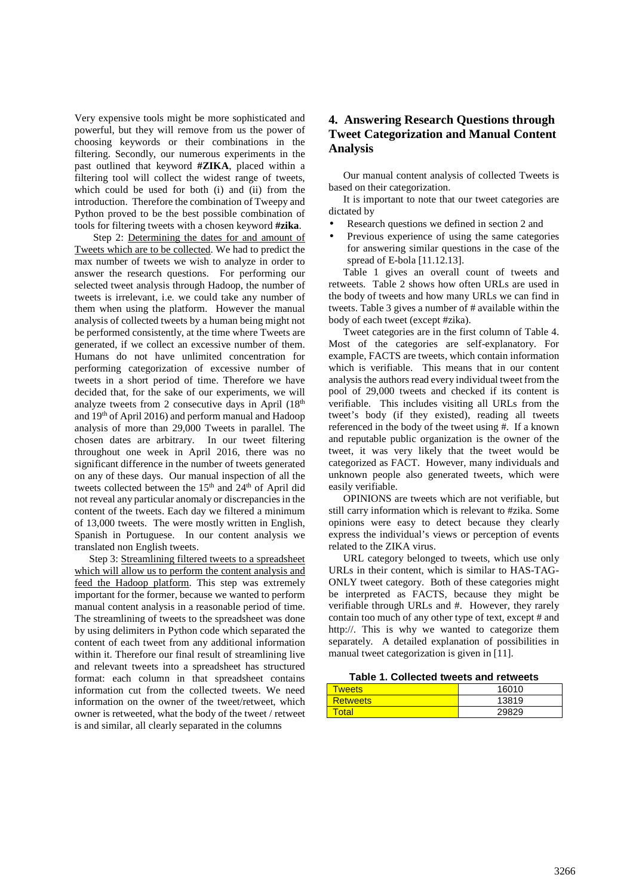Very expensive tools might be more sophisticated and powerful, but they will remove from us the power of choosing keywords or their combinations in the filtering. Secondly, our numerous experiments in the past outlined that keyword **#ZIKA**, placed within a filtering tool will collect the widest range of tweets, which could be used for both (i) and (ii) from the introduction. Therefore the combination of Tweepy and Python proved to be the best possible combination of tools for filtering tweets with a chosen keyword **#zika**.

Step 2: Determining the dates for and amount of Tweets which are to be collected. We had to predict the max number of tweets we wish to analyze in order to answer the research questions. For performing our selected tweet analysis through Hadoop, the number of tweets is irrelevant, i.e. we could take any number of them when using the platform. However the manual analysis of collected tweets by a human being might not be performed consistently, at the time where Tweets are generated, if we collect an excessive number of them. Humans do not have unlimited concentration for performing categorization of excessive number of tweets in a short period of time. Therefore we have decided that, for the sake of our experiments, we will analyze tweets from 2 consecutive days in April  $(18<sup>th</sup>$ and 19th of April 2016) and perform manual and Hadoop analysis of more than 29,000 Tweets in parallel. The chosen dates are arbitrary. In our tweet filtering throughout one week in April 2016, there was no significant difference in the number of tweets generated on any of these days. Our manual inspection of all the tweets collected between the 15<sup>th</sup> and 24<sup>th</sup> of April did not reveal any particular anomaly or discrepancies in the content of the tweets. Each day we filtered a minimum of 13,000 tweets. The were mostly written in English, Spanish in Portuguese. In our content analysis we translated non English tweets.

Step 3: Streamlining filtered tweets to a spreadsheet which will allow us to perform the content analysis and feed the Hadoop platform. This step was extremely important for the former, because we wanted to perform manual content analysis in a reasonable period of time. The streamlining of tweets to the spreadsheet was done by using delimiters in Python code which separated the content of each tweet from any additional information within it. Therefore our final result of streamlining live and relevant tweets into a spreadsheet has structured format: each column in that spreadsheet contains information cut from the collected tweets. We need information on the owner of the tweet/retweet, which owner is retweeted, what the body of the tweet / retweet is and similar, all clearly separated in the columns

# **4. Answering Research Questions through Tweet Categorization and Manual Content Analysis**

Our manual content analysis of collected Tweets is based on their categorization.

It is important to note that our tweet categories are dictated by

- Research questions we defined in section 2 and
- Previous experience of using the same categories for answering similar questions in the case of the spread of E-bola [11.12.13].

Table 1 gives an overall count of tweets and retweets. Table 2 shows how often URLs are used in the body of tweets and how many URLs we can find in tweets. Table 3 gives a number of # available within the body of each tweet (except #zika).

Tweet categories are in the first column of Table 4. Most of the categories are self-explanatory. For example, FACTS are tweets, which contain information which is verifiable. This means that in our content analysis the authors read every individual tweet from the pool of 29,000 tweets and checked if its content is verifiable. This includes visiting all URLs from the tweet's body (if they existed), reading all tweets referenced in the body of the tweet using #. If a known and reputable public organization is the owner of the tweet, it was very likely that the tweet would be categorized as FACT. However, many individuals and unknown people also generated tweets, which were easily verifiable.

OPINIONS are tweets which are not verifiable, but still carry information which is relevant to #zika. Some opinions were easy to detect because they clearly express the individual's views or perception of events related to the ZIKA virus.

URL category belonged to tweets, which use only URLs in their content, which is similar to HAS-TAG-ONLY tweet category. Both of these categories might be interpreted as FACTS, because they might be verifiable through URLs and #. However, they rarely contain too much of any other type of text, except # and http://. This is why we wanted to categorize them separately. A detailed explanation of possibilities in manual tweet categorization is given in [11].

**Table 1. Collected tweets and retweets** 

| weets             | 16010 |  |
|-------------------|-------|--|
| <b>Retweets</b>   | 13819 |  |
| <sup>'</sup> otal | 29829 |  |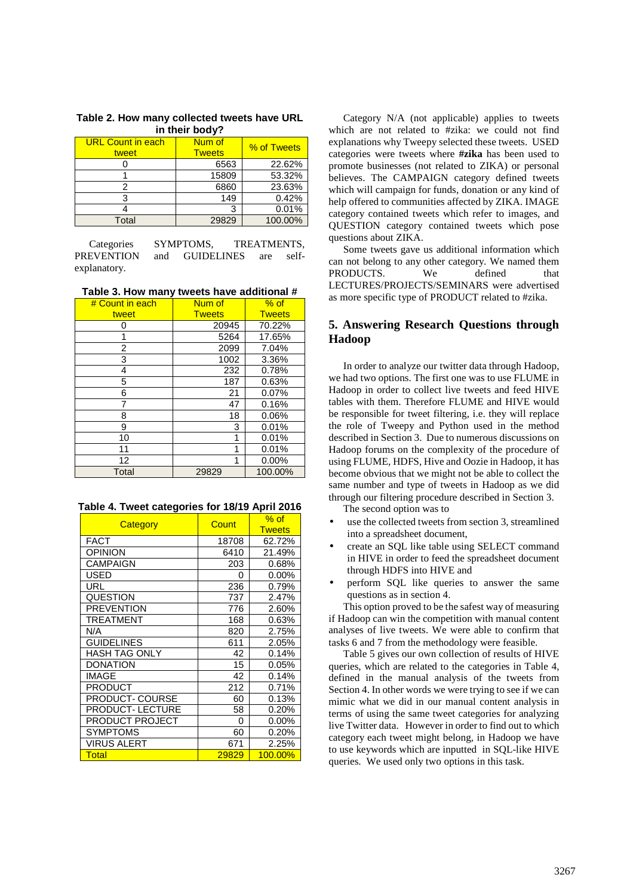| <b>URL Count in each</b><br>tweet | Num of<br><b>Tweets</b> | % of Tweets |
|-----------------------------------|-------------------------|-------------|
|                                   | 6563                    | 22.62%      |
|                                   | 15809                   | 53.32%      |
|                                   | 6860                    | 23.63%      |
|                                   | 149                     | 0.42%       |
|                                   | 3                       | 0.01%       |
| Total                             | 29829                   | 100.00%     |

**Table 2. How many collected tweets have URL in their body?** 

Categories SYMPTOMS, TREATMENTS,<br>PREVENTION and GUIDELINES are selfand GUIDELINES are selfexplanatory.

**Table 3. How many tweets have additional #** 

| # Count in each | Num of        | $%$ of        |
|-----------------|---------------|---------------|
| tweet           | <b>Tweets</b> | <b>Tweets</b> |
| 0               | 20945         | 70.22%        |
|                 | 5264          | 17.65%        |
| 2               | 2099          | 7.04%         |
| 3               | 1002          | 3.36%         |
| 4               | 232           | 0.78%         |
| 5               | 187           | 0.63%         |
| 6               | 21            | 0.07%         |
| 7               | 47            | 0.16%         |
| 8               | 18            | 0.06%         |
| 9               | 3             | 0.01%         |
| 10              | 1             | 0.01%         |
| 11              | 1             | 0.01%         |
| 12              | 1             | 0.00%         |
| Total           | 29829         | 100.00%       |

**Table 4. Tweet categories for 18/19 April 2016** 

| Category               | Count | $%$ of        |
|------------------------|-------|---------------|
|                        |       | <b>Tweets</b> |
| <b>FACT</b>            | 18708 | 62.72%        |
| <b>OPINION</b>         | 6410  | 21.49%        |
| <b>CAMPAIGN</b>        | 203   | 0.68%         |
| USED                   | 0     | $0.00\%$      |
| URL                    | 236   | 0.79%         |
| QUESTION               | 737   | 2.47%         |
| <b>PREVENTION</b>      | 776   | 2.60%         |
| TREATMENT              | 168   | 0.63%         |
| N/A                    | 820   | 2.75%         |
| <b>GUIDELINES</b>      | 611   | 2.05%         |
| <b>HASH TAG ONLY</b>   | 42    | 0.14%         |
| <b>DONATION</b>        | 15    | 0.05%         |
| <b>IMAGE</b>           | 42    | 0.14%         |
| <b>PRODUCT</b>         | 212   | 0.71%         |
| <b>PRODUCT- COURSE</b> | 60    | 0.13%         |
| <b>PRODUCT-LECTURE</b> | 58    | 0.20%         |
| PRODUCT PROJECT        | 0     | $0.00\%$      |
| <b>SYMPTOMS</b>        | 60    | 0.20%         |
| VIRUS ALERT            | 671   | 2.25%         |
| Total                  | 29829 | 100.00%       |

Category N/A (not applicable) applies to tweets which are not related to #zika: we could not find explanations why Tweepy selected these tweets. USED categories were tweets where **#zika** has been used to promote businesses (not related to ZIKA) or personal believes. The CAMPAIGN category defined tweets which will campaign for funds, donation or any kind of help offered to communities affected by ZIKA. IMAGE category contained tweets which refer to images, and QUESTION category contained tweets which pose questions about ZIKA.

Some tweets gave us additional information which can not belong to any other category. We named them PRODUCTS. We defined that LECTURES/PROJECTS/SEMINARS were advertised as more specific type of PRODUCT related to #zika.

# **5. Answering Research Questions through Hadoop**

In order to analyze our twitter data through Hadoop, we had two options. The first one was to use FLUME in Hadoop in order to collect live tweets and feed HIVE tables with them. Therefore FLUME and HIVE would be responsible for tweet filtering, i.e. they will replace the role of Tweepy and Python used in the method described in Section 3. Due to numerous discussions on Hadoop forums on the complexity of the procedure of using FLUME, HDFS, Hive and Oozie in Hadoop, it has become obvious that we might not be able to collect the same number and type of tweets in Hadoop as we did through our filtering procedure described in Section 3.

The second option was to

- use the collected tweets from section 3, streamlined into a spreadsheet document,
- create an SQL like table using SELECT command in HIVE in order to feed the spreadsheet document through HDFS into HIVE and
- perform SQL like queries to answer the same questions as in section 4.

This option proved to be the safest way of measuring if Hadoop can win the competition with manual content analyses of live tweets. We were able to confirm that tasks 6 and 7 from the methodology were feasible.

Table 5 gives our own collection of results of HIVE queries, which are related to the categories in Table 4, defined in the manual analysis of the tweets from Section 4. In other words we were trying to see if we can mimic what we did in our manual content analysis in terms of using the same tweet categories for analyzing live Twitter data. However in order to find out to which category each tweet might belong, in Hadoop we have to use keywords which are inputted in SQL-like HIVE queries. We used only two options in this task.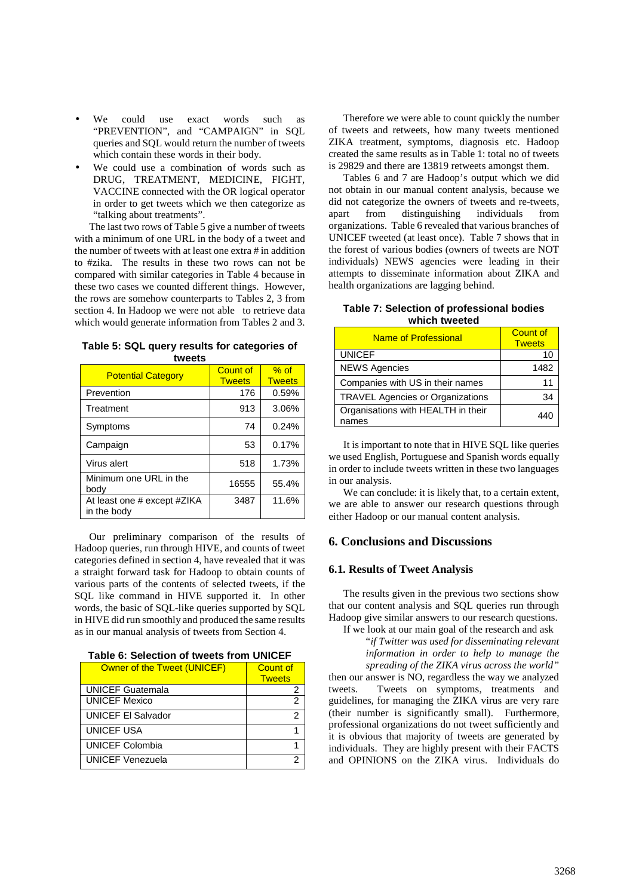- We could use exact words such as "PREVENTION", and "CAMPAIGN" in SQL queries and SQL would return the number of tweets which contain these words in their body.
- We could use a combination of words such as DRUG, TREATMENT, MEDICINE, FIGHT, VACCINE connected with the OR logical operator in order to get tweets which we then categorize as "talking about treatments".

The last two rows of Table 5 give a number of tweets with a minimum of one URL in the body of a tweet and the number of tweets with at least one extra # in addition to #zika. The results in these two rows can not be compared with similar categories in Table 4 because in these two cases we counted different things. However, the rows are somehow counterparts to Tables 2, 3 from section 4. In Hadoop we were not able to retrieve data which would generate information from Tables 2 and 3.

| wccu                                       |                           |                         |  |
|--------------------------------------------|---------------------------|-------------------------|--|
| <b>Potential Category</b>                  | Count of<br><b>Tweets</b> | $%$ of<br><b>Tweets</b> |  |
| Prevention                                 | 176                       | 0.59%                   |  |
| Treatment                                  | 913                       | 3.06%                   |  |
| Symptoms                                   | 74                        | 0.24%                   |  |
| Campaign                                   | 53                        | 0.17%                   |  |
| Virus alert                                | 518                       | 1.73%                   |  |
| Minimum one URL in the<br>body             | 16555                     | 55.4%                   |  |
| At least one # except #ZIKA<br>in the body | 3487                      | 11.6%                   |  |

| Table 5: SQL query results for categories of |  |
|----------------------------------------------|--|
| tweets                                       |  |

Our preliminary comparison of the results of Hadoop queries, run through HIVE, and counts of tweet categories defined in section 4, have revealed that it was a straight forward task for Hadoop to obtain counts of various parts of the contents of selected tweets, if the SQL like command in HIVE supported it. In other words, the basic of SQL-like queries supported by SQL in HIVE did run smoothly and produced the same results as in our manual analysis of tweets from Section 4.

| Table 6: Selection of tweets from UNICEF |  |
|------------------------------------------|--|
|                                          |  |

| Owner of the Tweet (UNICEF) | Count of      |
|-----------------------------|---------------|
|                             | <b>Tweets</b> |
| <b>UNICEF Guatemala</b>     |               |
| <b>UNICEF Mexico</b>        | っ             |
| <b>UNICEF El Salvador</b>   | 2             |
| <b>UNICEF USA</b>           |               |
| <b>UNICEF Colombia</b>      |               |
| <b>UNICEF Venezuela</b>     |               |

Therefore we were able to count quickly the number of tweets and retweets, how many tweets mentioned ZIKA treatment, symptoms, diagnosis etc. Hadoop created the same results as in Table 1: total no of tweets is 29829 and there are 13819 retweets amongst them.

Tables 6 and 7 are Hadoop's output which we did not obtain in our manual content analysis, because we did not categorize the owners of tweets and re-tweets, apart from distinguishing individuals from organizations. Table 6 revealed that various branches of UNICEF tweeted (at least once). Table 7 shows that in the forest of various bodies (owners of tweets are NOT individuals) NEWS agencies were leading in their attempts to disseminate information about ZIKA and health organizations are lagging behind.

#### **Table 7: Selection of professional bodies which tweeted**

| <b>Name of Professional</b>                 | <b>Count of</b><br><b>Tweets</b> |
|---------------------------------------------|----------------------------------|
| <b>UNICEF</b>                               |                                  |
| <b>NEWS Agencies</b>                        | 1482                             |
| Companies with US in their names            |                                  |
| <b>TRAVEL Agencies or Organizations</b>     | 34                               |
| Organisations with HEALTH in their<br>names |                                  |

It is important to note that in HIVE SQL like queries we used English, Portuguese and Spanish words equally in order to include tweets written in these two languages in our analysis.

We can conclude: it is likely that, to a certain extent, we are able to answer our research questions through either Hadoop or our manual content analysis.

# **6. Conclusions and Discussions**

#### **6.1. Results of Tweet Analysis**

The results given in the previous two sections show that our content analysis and SQL queries run through Hadoop give similar answers to our research questions.

If we look at our main goal of the research and ask

"*if Twitter was used for disseminating relevant information in order to help to manage the spreading of the ZIKA virus across the world"* then our answer is NO, regardless the way we analyzed tweets. Tweets on symptoms, treatments and guidelines, for managing the ZIKA virus are very rare (their number is significantly small). Furthermore, professional organizations do not tweet sufficiently and it is obvious that majority of tweets are generated by individuals. They are highly present with their FACTS and OPINIONS on the ZIKA virus. Individuals do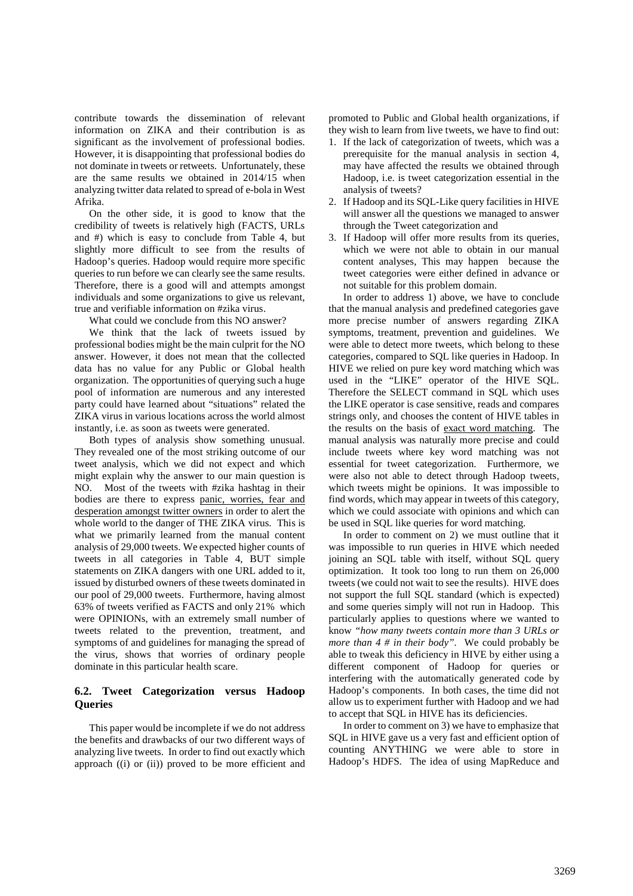contribute towards the dissemination of relevant information on ZIKA and their contribution is as significant as the involvement of professional bodies. However, it is disappointing that professional bodies do not dominate in tweets or retweets. Unfortunately, these are the same results we obtained in 2014/15 when analyzing twitter data related to spread of e-bola in West Afrika.

On the other side, it is good to know that the credibility of tweets is relatively high (FACTS, URLs and #) which is easy to conclude from Table 4, but slightly more difficult to see from the results of Hadoop's queries. Hadoop would require more specific queries to run before we can clearly see the same results. Therefore, there is a good will and attempts amongst individuals and some organizations to give us relevant, true and verifiable information on #zika virus.

What could we conclude from this NO answer?

We think that the lack of tweets issued by professional bodies might be the main culprit for the NO answer. However, it does not mean that the collected data has no value for any Public or Global health organization. The opportunities of querying such a huge pool of information are numerous and any interested party could have learned about "situations" related the ZIKA virus in various locations across the world almost instantly, i.e. as soon as tweets were generated.

Both types of analysis show something unusual. They revealed one of the most striking outcome of our tweet analysis, which we did not expect and which might explain why the answer to our main question is NO. Most of the tweets with #zika hashtag in their bodies are there to express panic, worries, fear and desperation amongst twitter owners in order to alert the whole world to the danger of THE ZIKA virus. This is what we primarily learned from the manual content analysis of 29,000 tweets. We expected higher counts of tweets in all categories in Table 4, BUT simple statements on ZIKA dangers with one URL added to it, issued by disturbed owners of these tweets dominated in our pool of 29,000 tweets. Furthermore, having almost 63% of tweets verified as FACTS and only 21% which were OPINIONs, with an extremely small number of tweets related to the prevention, treatment, and symptoms of and guidelines for managing the spread of the virus, shows that worries of ordinary people dominate in this particular health scare.

# **6.2. Tweet Categorization versus Hadoop Queries**

This paper would be incomplete if we do not address the benefits and drawbacks of our two different ways of analyzing live tweets. In order to find out exactly which approach ((i) or (ii)) proved to be more efficient and promoted to Public and Global health organizations, if they wish to learn from live tweets, we have to find out:

- 1. If the lack of categorization of tweets, which was a prerequisite for the manual analysis in section 4, may have affected the results we obtained through Hadoop, i.e. is tweet categorization essential in the analysis of tweets?
- 2. If Hadoop and its SQL-Like query facilities in HIVE will answer all the questions we managed to answer through the Tweet categorization and
- 3. If Hadoop will offer more results from its queries, which we were not able to obtain in our manual content analyses, This may happen because the tweet categories were either defined in advance or not suitable for this problem domain.

In order to address 1) above, we have to conclude that the manual analysis and predefined categories gave more precise number of answers regarding ZIKA symptoms, treatment, prevention and guidelines. We were able to detect more tweets, which belong to these categories, compared to SQL like queries in Hadoop. In HIVE we relied on pure key word matching which was used in the "LIKE" operator of the HIVE SQL. Therefore the SELECT command in SQL which uses the LIKE operator is case sensitive, reads and compares strings only, and chooses the content of HIVE tables in the results on the basis of exact word matching. The manual analysis was naturally more precise and could include tweets where key word matching was not essential for tweet categorization. Furthermore, we were also not able to detect through Hadoop tweets, which tweets might be opinions. It was impossible to find words, which may appear in tweets of this category, which we could associate with opinions and which can be used in SQL like queries for word matching.

In order to comment on 2) we must outline that it was impossible to run queries in HIVE which needed joining an SQL table with itself, without SQL query optimization. It took too long to run them on 26,000 tweets (we could not wait to see the results). HIVE does not support the full SQL standard (which is expected) and some queries simply will not run in Hadoop. This particularly applies to questions where we wanted to know *"how many tweets contain more than 3 URLs or more than 4 # in their body".* We could probably be able to tweak this deficiency in HIVE by either using a different component of Hadoop for queries or interfering with the automatically generated code by Hadoop's components. In both cases, the time did not allow us to experiment further with Hadoop and we had to accept that SQL in HIVE has its deficiencies.

In order to comment on 3) we have to emphasize that SQL in HIVE gave us a very fast and efficient option of counting ANYTHING we were able to store in Hadoop's HDFS. The idea of using MapReduce and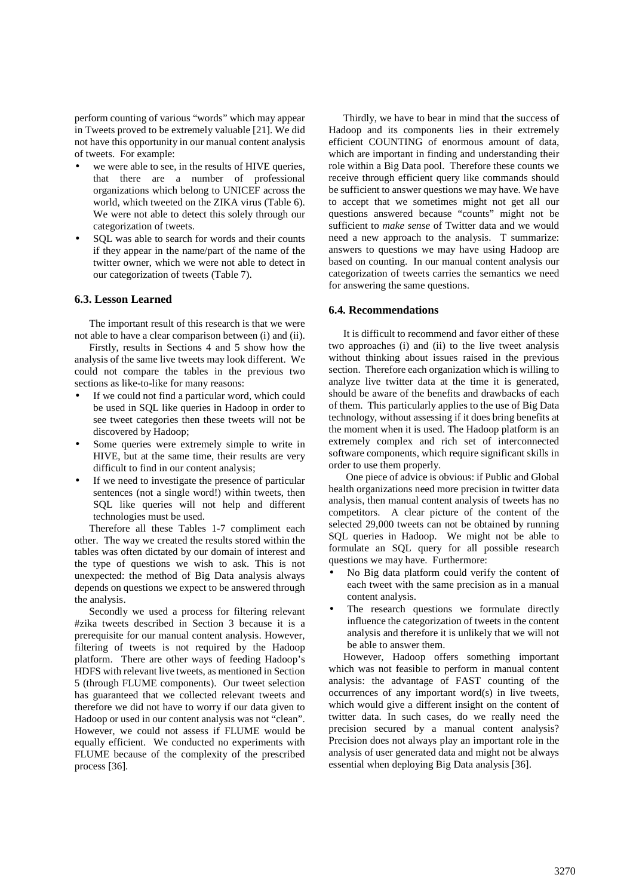perform counting of various "words" which may appear in Tweets proved to be extremely valuable [21]. We did not have this opportunity in our manual content analysis of tweets. For example:

- we were able to see, in the results of HIVE queries, that there are a number of professional organizations which belong to UNICEF across the world, which tweeted on the ZIKA virus (Table 6). We were not able to detect this solely through our categorization of tweets.
- SOL was able to search for words and their counts if they appear in the name/part of the name of the twitter owner, which we were not able to detect in our categorization of tweets (Table 7).

### **6.3. Lesson Learned**

The important result of this research is that we were not able to have a clear comparison between (i) and (ii).

Firstly, results in Sections 4 and 5 show how the analysis of the same live tweets may look different. We could not compare the tables in the previous two sections as like-to-like for many reasons:

- If we could not find a particular word, which could be used in SQL like queries in Hadoop in order to see tweet categories then these tweets will not be discovered by Hadoop;
- Some queries were extremely simple to write in HIVE, but at the same time, their results are very difficult to find in our content analysis;
- If we need to investigate the presence of particular sentences (not a single word!) within tweets, then SQL like queries will not help and different technologies must be used.

Therefore all these Tables 1-7 compliment each other. The way we created the results stored within the tables was often dictated by our domain of interest and the type of questions we wish to ask. This is not unexpected: the method of Big Data analysis always depends on questions we expect to be answered through the analysis.

Secondly we used a process for filtering relevant #zika tweets described in Section 3 because it is a prerequisite for our manual content analysis. However, filtering of tweets is not required by the Hadoop platform. There are other ways of feeding Hadoop's HDFS with relevant live tweets, as mentioned in Section 5 (through FLUME components). Our tweet selection has guaranteed that we collected relevant tweets and therefore we did not have to worry if our data given to Hadoop or used in our content analysis was not "clean". However, we could not assess if FLUME would be equally efficient. We conducted no experiments with FLUME because of the complexity of the prescribed process [36].

Thirdly, we have to bear in mind that the success of Hadoop and its components lies in their extremely efficient COUNTING of enormous amount of data, which are important in finding and understanding their role within a Big Data pool. Therefore these counts we receive through efficient query like commands should be sufficient to answer questions we may have. We have to accept that we sometimes might not get all our questions answered because "counts" might not be sufficient to *make sense* of Twitter data and we would need a new approach to the analysis. T summarize: answers to questions we may have using Hadoop are based on counting. In our manual content analysis our categorization of tweets carries the semantics we need for answering the same questions.

### **6.4. Recommendations**

It is difficult to recommend and favor either of these two approaches (i) and (ii) to the live tweet analysis without thinking about issues raised in the previous section. Therefore each organization which is willing to analyze live twitter data at the time it is generated, should be aware of the benefits and drawbacks of each of them. This particularly applies to the use of Big Data technology, without assessing if it does bring benefits at the moment when it is used. The Hadoop platform is an extremely complex and rich set of interconnected software components, which require significant skills in order to use them properly.

 One piece of advice is obvious: if Public and Global health organizations need more precision in twitter data analysis, then manual content analysis of tweets has no competitors. A clear picture of the content of the selected 29,000 tweets can not be obtained by running SQL queries in Hadoop. We might not be able to formulate an SQL query for all possible research questions we may have. Furthermore:

- No Big data platform could verify the content of each tweet with the same precision as in a manual content analysis.
- The research questions we formulate directly influence the categorization of tweets in the content analysis and therefore it is unlikely that we will not be able to answer them.

However, Hadoop offers something important which was not feasible to perform in manual content analysis: the advantage of FAST counting of the occurrences of any important word(s) in live tweets, which would give a different insight on the content of twitter data. In such cases, do we really need the precision secured by a manual content analysis? Precision does not always play an important role in the analysis of user generated data and might not be always essential when deploying Big Data analysis [36].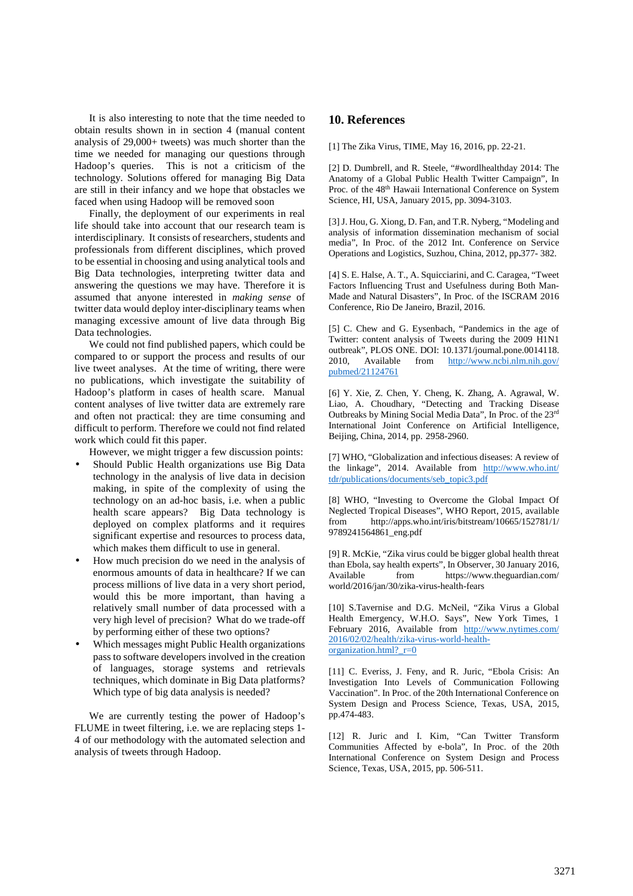It is also interesting to note that the time needed to obtain results shown in in section 4 (manual content analysis of 29,000+ tweets) was much shorter than the time we needed for managing our questions through Hadoop's queries. This is not a criticism of the technology. Solutions offered for managing Big Data are still in their infancy and we hope that obstacles we faced when using Hadoop will be removed soon

Finally, the deployment of our experiments in real life should take into account that our research team is interdisciplinary. It consists of researchers, students and professionals from different disciplines, which proved to be essential in choosing and using analytical tools and Big Data technologies, interpreting twitter data and answering the questions we may have. Therefore it is assumed that anyone interested in *making sense* of twitter data would deploy inter-disciplinary teams when managing excessive amount of live data through Big Data technologies.

We could not find published papers, which could be compared to or support the process and results of our live tweet analyses. At the time of writing, there were no publications, which investigate the suitability of Hadoop's platform in cases of health scare. Manual content analyses of live twitter data are extremely rare and often not practical: they are time consuming and difficult to perform. Therefore we could not find related work which could fit this paper.

However, we might trigger a few discussion points:

- Should Public Health organizations use Big Data technology in the analysis of live data in decision making, in spite of the complexity of using the technology on an ad-hoc basis, i.e. when a public health scare appears? Big Data technology is deployed on complex platforms and it requires significant expertise and resources to process data, which makes them difficult to use in general.
- How much precision do we need in the analysis of enormous amounts of data in healthcare? If we can process millions of live data in a very short period, would this be more important, than having a relatively small number of data processed with a very high level of precision? What do we trade-off by performing either of these two options?
- Which messages might Public Health organizations pass to software developers involved in the creation of languages, storage systems and retrievals techniques, which dominate in Big Data platforms? Which type of big data analysis is needed?

We are currently testing the power of Hadoop's FLUME in tweet filtering, i.e. we are replacing steps 1- 4 of our methodology with the automated selection and analysis of tweets through Hadoop.

# **10. References**

[1] The Zika Virus, TIME, May 16, 2016, pp. 22-21.

[2] D. Dumbrell, and R. Steele, "#wordlhealthday 2014: The Anatomy of a Global Public Health Twitter Campaign", In Proc. of the 48th Hawaii International Conference on System Science, HI, USA, January 2015, pp. 3094-3103.

[3] J. Hou, G. Xiong, D. Fan, and T.R. Nyberg, "Modeling and analysis of information dissemination mechanism of social media", In Proc. of the 2012 Int. Conference on Service Operations and Logistics, Suzhou, China, 2012, pp**.**377- 382.

[4] S. E. Halse, A. T., A. Squicciarini, and C. Caragea, "Tweet Factors Influencing Trust and Usefulness during Both Man-Made and Natural Disasters", In Proc. of the ISCRAM 2016 Conference, Rio De Janeiro, Brazil, 2016.

[5] C. Chew and G. Eysenbach, "Pandemics in the age of Twitter: content analysis of Tweets during the 2009 H1N1 outbreak", PLOS ONE. DOI: 10.1371/journal.pone.0014118. 2010, Available from http://www.ncbi.nlm.nih.gov/ pubmed/21124761

[6] Y. Xie, Z. Chen, Y. Cheng, K. Zhang, A. Agrawal, W. Liao, A. Choudhary, "Detecting and Tracking Disease Outbreaks by Mining Social Media Data", In Proc. of the 23rd International Joint Conference on Artificial Intelligence, Beijing, China, 2014, pp. 2958-2960.

[7] WHO, "Globalization and infectious diseases: A review of the linkage", 2014. Available from http://www.who.int/ tdr/publications/documents/seb\_topic3.pdf

[8] WHO, "Investing to Overcome the Global Impact Of Neglected Tropical Diseases", WHO Report, 2015, available from http://apps.who.int/iris/bitstream/10665/152781/1/ 9789241564861\_eng.pdf

[9] R. McKie, "Zika virus could be bigger global health threat than Ebola, say health experts", In Observer, 30 January 2016, Available from https://www.theguardian.com/ world/2016/jan/30/zika-virus-health-fears

[10] S.Tavernise and D.G. McNeil, "Zika Virus a Global Health Emergency, W.H.O. Says", New York Times, 1 February 2016, Available from http://www.nytimes.com/ 2016/02/02/health/zika-virus-world-healthorganization.html? $r=0$ 

[11] C. Everiss, J. Feny, and R. Juric, "Ebola Crisis: An Investigation Into Levels of Communication Following Vaccination". In Proc. of the 20th International Conference on System Design and Process Science, Texas, USA, 2015, pp.474-483.

[12] R. Juric and I. Kim, "Can Twitter Transform Communities Affected by e-bola", In Proc. of the 20th International Conference on System Design and Process Science, Texas, USA, 2015, pp. 506-511.